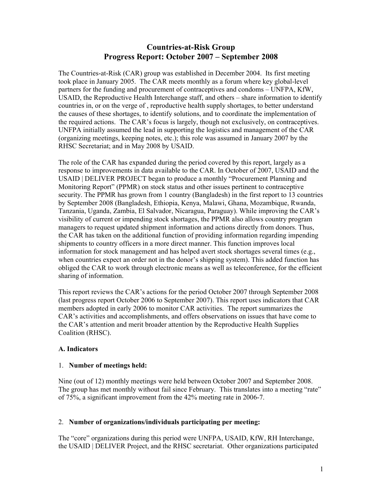# **Countries-at-Risk Group Progress Report: October 2007 – September 2008**

The Countries-at-Risk (CAR) group was established in December 2004. Its first meeting took place in January 2005. The CAR meets monthly as a forum where key global-level partners for the funding and procurement of contraceptives and condoms – UNFPA, KfW, USAID, the Reproductive Health Interchange staff, and others – share information to identify countries in, or on the verge of , reproductive health supply shortages, to better understand the causes of these shortages, to identify solutions, and to coordinate the implementation of the required actions. The CAR's focus is largely, though not exclusively, on contraceptives. UNFPA initially assumed the lead in supporting the logistics and management of the CAR (organizing meetings, keeping notes, etc.); this role was assumed in January 2007 by the RHSC Secretariat; and in May 2008 by USAID.

The role of the CAR has expanded during the period covered by this report, largely as a response to improvements in data available to the CAR. In October of 2007, USAID and the USAID | DELIVER PROJECT began to produce a monthly "Procurement Planning and Monitoring Report" (PPMR) on stock status and other issues pertinent to contraceptive security. The PPMR has grown from 1 country (Bangladesh) in the first report to 13 countries by September 2008 (Bangladesh, Ethiopia, Kenya, Malawi, Ghana, Mozambique, Rwanda, Tanzania, Uganda, Zambia, El Salvador, Nicaragua, Paraguay). While improving the CAR's visibility of current or impending stock shortages, the PPMR also allows country program managers to request updated shipment information and actions directly from donors. Thus, the CAR has taken on the additional function of providing information regarding impending shipments to country officers in a more direct manner. This function improves local information for stock management and has helped avert stock shortages several times (e.g., when countries expect an order not in the donor's shipping system). This added function has obliged the CAR to work through electronic means as well as teleconference, for the efficient sharing of information.

This report reviews the CAR's actions for the period October 2007 through September 2008 (last progress report October 2006 to September 2007). This report uses indicators that CAR members adopted in early 2006 to monitor CAR activities. The report summarizes the CAR's activities and accomplishments, and offers observations on issues that have come to the CAR's attention and merit broader attention by the Reproductive Health Supplies Coalition (RHSC).

# **A. Indicators**

# 1. **Number of meetings held:**

Nine (out of 12) monthly meetings were held between October 2007 and September 2008. The group has met monthly without fail since February. This translates into a meeting "rate" of 75%, a significant improvement from the 42% meeting rate in 2006-7.

# 2. **Number of organizations/individuals participating per meeting:**

The "core" organizations during this period were UNFPA, USAID, KfW, RH Interchange, the USAID | DELIVER Project, and the RHSC secretariat. Other organizations participated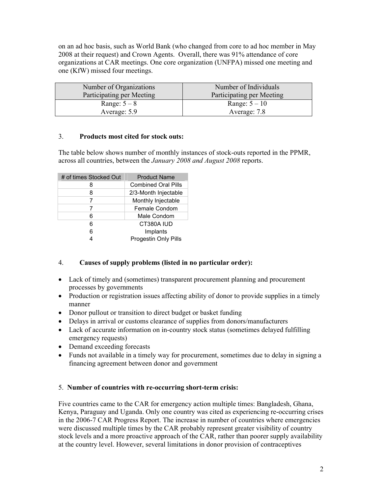on an ad hoc basis, such as World Bank (who changed from core to ad hoc member in May 2008 at their request) and Crown Agents. Overall, there was 91% attendance of core organizations at CAR meetings. One core organization (UNFPA) missed one meeting and one (KfW) missed four meetings.

| Number of Organizations   | Number of Individuals     |
|---------------------------|---------------------------|
| Participating per Meeting | Participating per Meeting |
| Range: $5-8$              | Range: $5-10$             |
| Average: 5.9              | Average: 7.8              |

# 3. **Products most cited for stock outs:**

The table below shows number of monthly instances of stock-outs reported in the PPMR, across all countries, between the *January 2008 and August 2008* reports.

| # of times Stocked Out | <b>Product Name</b>        |  |
|------------------------|----------------------------|--|
| 8                      | <b>Combined Oral Pills</b> |  |
| 8                      | 2/3-Month Injectable       |  |
| 7                      | Monthly Injectable         |  |
|                        | Female Condom              |  |
| 6                      | Male Condom                |  |
| 6                      | CT380A IUD                 |  |
| 6                      | Implants                   |  |
|                        | Progestin Only Pills       |  |

# 4. **Causes of supply problems (listed in no particular order):**

- Lack of timely and (sometimes) transparent procurement planning and procurement processes by governments
- Production or registration issues affecting ability of donor to provide supplies in a timely manner
- Donor pullout or transition to direct budget or basket funding
- Delays in arrival or customs clearance of supplies from donors/manufacturers
- Lack of accurate information on in-country stock status (sometimes delayed fulfilling emergency requests)
- Demand exceeding forecasts
- Funds not available in a timely way for procurement, sometimes due to delay in signing a financing agreement between donor and government

# 5. **Number of countries with re-occurring short-term crisis:**

Five countries came to the CAR for emergency action multiple times: Bangladesh, Ghana, Kenya, Paraguay and Uganda. Only one country was cited as experiencing re-occurring crises in the 2006-7 CAR Progress Report. The increase in number of countries where emergencies were discussed multiple times by the CAR probably represent greater visibility of country stock levels and a more proactive approach of the CAR, rather than poorer supply availability at the country level. However, several limitations in donor provision of contraceptives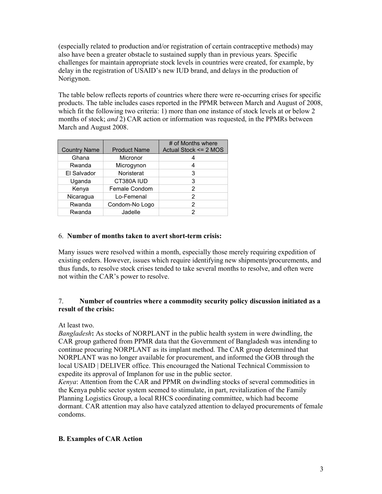(especially related to production and/or registration of certain contraceptive methods) may also have been a greater obstacle to sustained supply than in previous years. Specific challenges for maintain appropriate stock levels in countries were created, for example, by delay in the registration of USAID's new IUD brand, and delays in the production of Norigynon.

The table below reflects reports of countries where there were re-occurring crises for specific products. The table includes cases reported in the PPMR between March and August of 2008, which fit the following two criteria: 1) more than one instance of stock levels at or below 2 months of stock; *and* 2) CAR action or information was requested, in the PPMRs between March and August 2008.

| <b>Country Name</b> | <b>Product Name</b> | # of Months where<br>Actual Stock <= 2 MOS |
|---------------------|---------------------|--------------------------------------------|
| Ghana               | Micronor            |                                            |
| Rwanda              | Microgynon          |                                            |
| El Salvador         | Noristerat          | 3                                          |
| Uganda              | CT380A IUD          | 3                                          |
| Kenya               | Female Condom       | 2                                          |
| Nicaragua           | Lo-Femenal          | 2                                          |
| Rwanda              | Condom-No Logo      | 2                                          |
| Rwanda              | Jadelle             | 2                                          |

# 6. **Number of months taken to avert short-term crisis:**

Many issues were resolved within a month, especially those merely requiring expedition of existing orders. However, issues which require identifying new shipments/procurements, and thus funds, to resolve stock crises tended to take several months to resolve, and often were not within the CAR's power to resolve.

#### 7. **Number of countries where a commodity security policy discussion initiated as a result of the crisis:**

#### At least two.

*Bangladesh***:** As stocks of NORPLANT in the public health system in were dwindling, the CAR group gathered from PPMR data that the Government of Bangladesh was intending to continue procuring NORPLANT as its implant method. The CAR group determined that NORPLANT was no longer available for procurement, and informed the GOB through the local USAID | DELIVER office. This encouraged the National Technical Commission to expedite its approval of Implanon for use in the public sector.

*Kenya*: Attention from the CAR and PPMR on dwindling stocks of several commodities in the Kenya public sector system seemed to stimulate, in part, revitalization of the Family Planning Logistics Group, a local RHCS coordinating committee, which had become dormant. CAR attention may also have catalyzed attention to delayed procurements of female condoms.

# **B. Examples of CAR Action**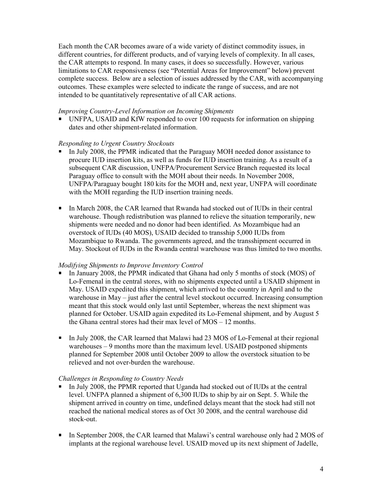Each month the CAR becomes aware of a wide variety of distinct commodity issues, in different countries, for different products, and of varying levels of complexity. In all cases, the CAR attempts to respond. In many cases, it does so successfully. However, various limitations to CAR responsiveness (see "Potential Areas for Improvement" below) prevent complete success. Below are a selection of issues addressed by the CAR, with accompanying outcomes. These examples were selected to indicate the range of success, and are not intended to be quantitatively representative of all CAR actions.

#### *Improving Country-Level Information on Incoming Shipments*

 UNFPA, USAID and KfW responded to over 100 requests for information on shipping dates and other shipment-related information.

#### *Responding to Urgent Country Stockouts*

- In July 2008, the PPMR indicated that the Paraguay MOH needed donor assistance to procure IUD insertion kits, as well as funds for IUD insertion training. As a result of a subsequent CAR discussion, UNFPA/Procurement Service Branch requested its local Paraguay office to consult with the MOH about their needs. In November 2008, UNFPA/Paraguay bought 180 kits for the MOH and, next year, UNFPA will coordinate with the MOH regarding the IUD insertion training needs.
- In March 2008, the CAR learned that Rwanda had stocked out of IUDs in their central warehouse. Though redistribution was planned to relieve the situation temporarily, new shipments were needed and no donor had been identified. As Mozambique had an overstock of IUDs (40 MOS), USAID decided to transship 5,000 IUDs from Mozambique to Rwanda. The governments agreed, and the transshipment occurred in May. Stockout of IUDs in the Rwanda central warehouse was thus limited to two months.

# *Modifying Shipments to Improve Inventory Control*

- In January 2008, the PPMR indicated that Ghana had only 5 months of stock (MOS) of Lo-Femenal in the central stores, with no shipments expected until a USAID shipment in May. USAID expedited this shipment, which arrived to the country in April and to the warehouse in May – just after the central level stockout occurred. Increasing consumption meant that this stock would only last until September, whereas the next shipment was planned for October. USAID again expedited its Lo-Femenal shipment, and by August 5 the Ghana central stores had their max level of MOS – 12 months.
- In July 2008, the CAR learned that Malawi had 23 MOS of Lo-Femenal at their regional warehouses – 9 months more than the maximum level. USAID postponed shipments planned for September 2008 until October 2009 to allow the overstock situation to be relieved and not over-burden the warehouse.

# *Challenges in Responding to Country Needs*

- In July 2008, the PPMR reported that Uganda had stocked out of IUDs at the central level. UNFPA planned a shipment of 6,300 IUDs to ship by air on Sept. 5. While the shipment arrived in country on time, undefined delays meant that the stock had still not reached the national medical stores as of Oct 30 2008, and the central warehouse did stock-out.
- In September 2008, the CAR learned that Malawi's central warehouse only had 2 MOS of implants at the regional warehouse level. USAID moved up its next shipment of Jadelle,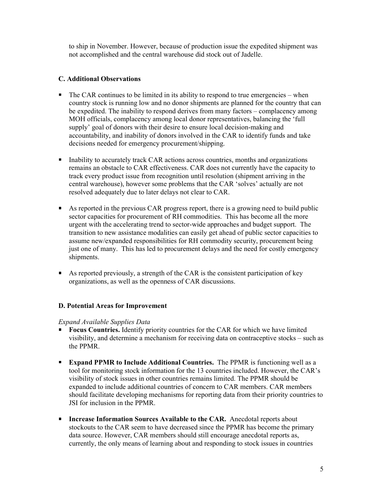to ship in November. However, because of production issue the expedited shipment was not accomplished and the central warehouse did stock out of Jadelle.

#### **C. Additional Observations**

- $\blacksquare$  The CAR continues to be limited in its ability to respond to true emergencies when country stock is running low and no donor shipments are planned for the country that can be expedited. The inability to respond derives from many factors – complacency among MOH officials, complacency among local donor representatives, balancing the 'full supply' goal of donors with their desire to ensure local decision-making and accountability, and inability of donors involved in the CAR to identify funds and take decisions needed for emergency procurement/shipping.
- Inability to accurately track CAR actions across countries, months and organizations remains an obstacle to CAR effectiveness. CAR does not currently have the capacity to track every product issue from recognition until resolution (shipment arriving in the central warehouse), however some problems that the CAR 'solves' actually are not resolved adequately due to later delays not clear to CAR.
- As reported in the previous CAR progress report, there is a growing need to build public sector capacities for procurement of RH commodities. This has become all the more urgent with the accelerating trend to sector-wide approaches and budget support. The transition to new assistance modalities can easily get ahead of public sector capacities to assume new/expanded responsibilities for RH commodity security, procurement being just one of many. This has led to procurement delays and the need for costly emergency shipments.
- As reported previously, a strength of the CAR is the consistent participation of key organizations, as well as the openness of CAR discussions.

#### **D. Potential Areas for Improvement**

#### *Expand Available Supplies Data*

- **Focus Countries.** Identify priority countries for the CAR for which we have limited visibility, and determine a mechanism for receiving data on contraceptive stocks – such as the PPMR.
- **Expand PPMR to Include Additional Countries.** The PPMR is functioning well as a tool for monitoring stock information for the 13 countries included. However, the CAR's visibility of stock issues in other countries remains limited. The PPMR should be expanded to include additional countries of concern to CAR members. CAR members should facilitate developing mechanisms for reporting data from their priority countries to JSI for inclusion in the PPMR.
- **Increase Information Sources Available to the CAR.** Anecdotal reports about stockouts to the CAR seem to have decreased since the PPMR has become the primary data source. However, CAR members should still encourage anecdotal reports as, currently, the only means of learning about and responding to stock issues in countries